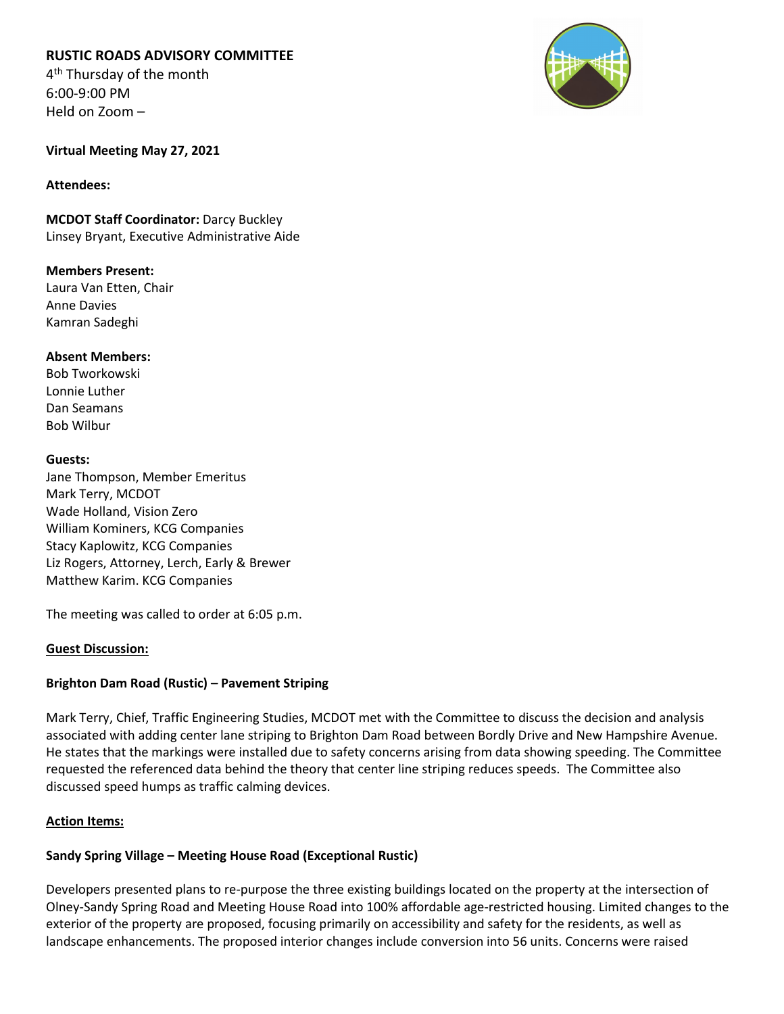# **RUSTIC ROADS ADVISORY COMMITTEE**

4<sup>th</sup> Thursday of the month 6:00-9:00 PM Held on Zoom –



**Virtual Meeting May 27, 2021**

#### **Attendees:**

**MCDOT Staff Coordinator:** Darcy Buckley Linsey Bryant, Executive Administrative Aide

**Members Present:** Laura Van Etten, Chair Anne Davies Kamran Sadeghi

**Absent Members:** Bob Tworkowski Lonnie Luther Dan Seamans Bob Wilbur

#### **Guests:**

Jane Thompson, Member Emeritus Mark Terry, MCDOT Wade Holland, Vision Zero William Kominers, KCG Companies Stacy Kaplowitz, KCG Companies Liz Rogers, Attorney, Lerch, Early & Brewer Matthew Karim. KCG Companies

The meeting was called to order at 6:05 p.m.

## **Guest Discussion:**

# **Brighton Dam Road (Rustic) – Pavement Striping**

Mark Terry, Chief, Traffic Engineering Studies, MCDOT met with the Committee to discuss the decision and analysis associated with adding center lane striping to Brighton Dam Road between Bordly Drive and New Hampshire Avenue. He states that the markings were installed due to safety concerns arising from data showing speeding. The Committee requested the referenced data behind the theory that center line striping reduces speeds. The Committee also discussed speed humps as traffic calming devices.

## **Action Items:**

## **Sandy Spring Village – Meeting House Road (Exceptional Rustic)**

Developers presented plans to re-purpose the three existing buildings located on the property at the intersection of Olney-Sandy Spring Road and Meeting House Road into 100% affordable age-restricted housing. Limited changes to the exterior of the property are proposed, focusing primarily on accessibility and safety for the residents, as well as landscape enhancements. The proposed interior changes include conversion into 56 units. Concerns were raised